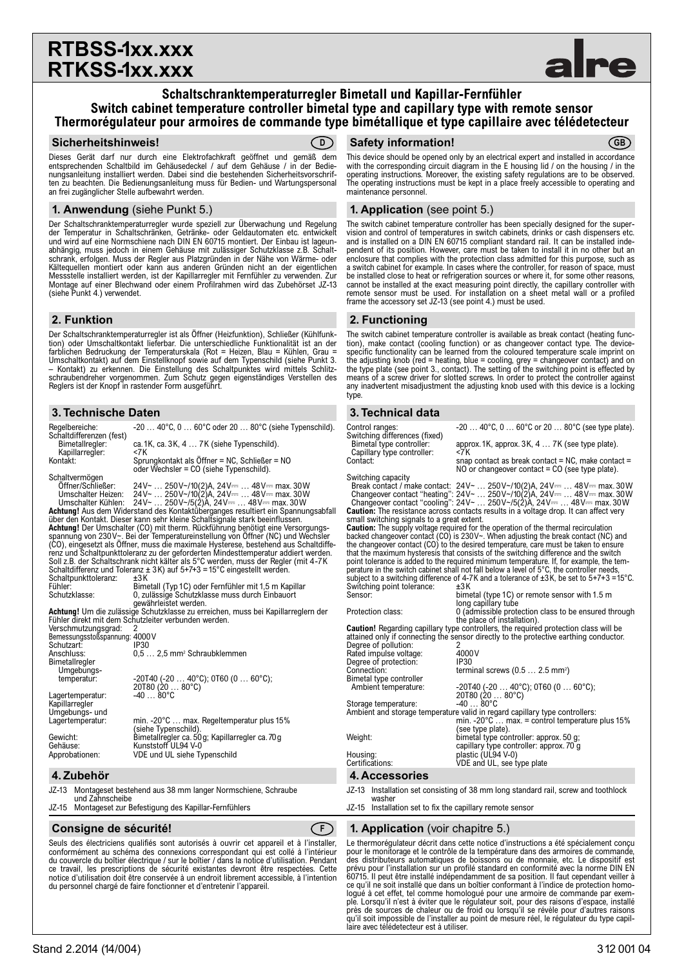# **RTBSS-1xx.xxx RTKSS-1xx.xxx**

### **Schaltschranktemperaturregler Bimetall und Kapillar-Fernfühler Switch cabinet temperature controller bimetal type and capillary type with remote sensor Thermorégulateur pour armoires de commande type bimétallique et type capillaire avec télédetecteur**

#### **Sicherheitshinweis! Safety information! D GB**

Dieses Gerät darf nur durch eine Elektrofachkraft geöffnet und gemäß dem entsprechenden Schaltbild im Gehäusedeckel / auf dem Gehäuse / in der Bedienungsanleitung installiert werden. Dabei sind die bestehenden Sicherheitsvorschriften zu beachten. Die Bedienungsanleitung muss für Bedien- und Wartungspersonal an frei zugänglicher Stelle aufbewahrt werden.

#### **1. Anwendung** (siehe Punkt 5.)

Der Schaltschranktemperaturregler wurde speziell zur Überwachung und Regelung der Temperatur in Schaltschränken, Getränke- oder Geldautomaten etc. entwickelt und wird auf eine Normschiene nach DIN EN 60715 montiert. Der Einbau ist lageunabhängig, muss jedoch in einem Gehäuse mit zulässiger Schutzklasse z.B. Schalt-schrank, erfolgen. Muss der Regler aus Platzgründen in der Nähe von Wärme- oder Kältequellen montiert oder kann aus anderen Gründen nicht an der eigentlichen Messstelle installiert werden, ist der Kapillarregler mit Fernfühler zu verwenden. Zur Montage auf einer Blechwand oder einem Profilrahmen wird das Zubehörset JZ-13 (siehe Punkt 4.) verwendet.

#### **2. Funktion**

Der Schaltschranktemperaturregler ist als Öffner (Heizfunktion), Schließer (Kühlfunktion) oder Umschaltkontakt lieferbar. Die unterschiedliche Funktionalität ist an der farblichen Bedruckung der Temperaturskala (Rot = Heizen, Blau = Kühlen, Grau = Umschaltkontakt) auf dem Einstellknopf sowie auf dem Typenschild (siehe Punkt 3. – Kontakt) zu erkennen. Die Einstellung des Schaltpunktes wird mittels Schlitz-schraubendreher vorgenommen. Zum Schutz gegen eigenständiges Verstellen des Reglers ist der Knopf in rastender Form ausgeführt.

## **3. Technische Daten**

| Regelbereiche:<br>Schaltdifferenzen (fest)                                           | $-2040^{\circ}$ C, $060^{\circ}$ C oder 20 $80^{\circ}$ C (siehe Typenschild).           |  |  |
|--------------------------------------------------------------------------------------|------------------------------------------------------------------------------------------|--|--|
| Bimetallregler:<br>Kapillarregler:                                                   | ca. 1K, ca. 3K, 4  7K (siehe Typenschild).<br><7K                                        |  |  |
| Kontakt:                                                                             | Sprungkontakt als Öffner = NC, Schließer = NO<br>oder Wechsler = CO (siehe Typenschild). |  |  |
| Schaltvermögen                                                                       |                                                                                          |  |  |
| Öffner/Schließer:                                                                    | $24V$ $\sim$ 250V ~/10(2) A, 24V $\sim$ 48V $\sim$ max. 30W                              |  |  |
|                                                                                      | Umschalter Heizen: $24V$ $250V$ /10(2)A, $24V$ $48V$ max. 30W                            |  |  |
|                                                                                      | Umschalter Kühlen: $24\sqrt{2}$ $250\sqrt{5}$ (2)A, $24\sqrt{2}$ $48\sqrt{2}$ max. 30W   |  |  |
| Achtung! Aus dem Widerstand des Kontaktüberganges resultiert ein Spannungsabfall     |                                                                                          |  |  |
| über den Kontakt. Dieser kann sehr kleine Schaltsignale stark beeinflussen.          |                                                                                          |  |  |
| Achtung! Der Umschalter (CO) mit therm. Rückführung benötigt eine Versorgungs-       |                                                                                          |  |  |
| spannung von 230V~. Bei der Temperatureinstellung von Öffner (NC) und Wechsler       |                                                                                          |  |  |
| (CO), eingesetzt als Offner, muss die maximale Hysterese, bestehend aus Schaltdiffe- |                                                                                          |  |  |
| renz und Schaltpunkttoleranz zu der geforderten Mindesttemperatur addiert werden.    |                                                                                          |  |  |
| Soll z.B. der Schaltschrank nicht kälter als 5°C werden, muss der Regler (mit 4-7K   |                                                                                          |  |  |
| Schaltdifferenz und Toleranz $\pm$ 3K) auf 5+7+3 = 15°C eingestellt werden.          |                                                                                          |  |  |
| Schaltpunkttoleranz:                                                                 | ±3K                                                                                      |  |  |
| Fühler:                                                                              | Bimetall (Typ 1C) oder Fernfühler mit 1,5 m Kapillar                                     |  |  |
| Schutzklasse:                                                                        | 0. zulässige Schutzklasse muss durch Einbauort                                           |  |  |
|                                                                                      | gewährleistet werden.                                                                    |  |  |
| Achtung! Um die zulässige Schutzklasse zu erreichen, muss bei Kapillarreglern der    |                                                                                          |  |  |
| Fühler direkt mit dem Schutzleiter verbunden werden.                                 |                                                                                          |  |  |
| Verschmutzungsgrad:                                                                  | -2                                                                                       |  |  |
| Bemessungsstoßspannung: 4000V                                                        |                                                                                          |  |  |

Schutzart: IP30<br>Anschluss: 0.5 0,5 ... 2,5 mm<sup>2</sup> Schraubklemmen Bimetallregler Umgebungs-<br>temperatur: temperatur: -20T40 (-20 … 40°C); 0T60 (0 … 60°C); 20T80 (20 … 80°C) Lagertemperatur: Kapillarregler Umgebungs- und<br>Lagertemperatur: min. -20°C ... max. Regeltemperatur plus 15% (siehe Typenschild). Gewicht: Bimetallregler ca. 50g; Kapillarregler ca.70g Gehäuse: Kunststoff UL94 V-0 Approbationen: VDE und UL siehe Typenschild

**4. Zubehör 4. Accessories**

JZ-13 Montageset bestehend aus 38 mm langer Normschiene, Schraube und Zahnscheibe

JZ-15 Montageset zur Befestigung des Kapillar-Fernfühlers

#### **Consigne de sécurité! F**

Seuls des électriciens qualifiés sont autorisés à ouvrir cet appareil et à l'installer, conformément au schéma des connexions correspondant qui est collé à l'intérieur du couvercle du boîtier électrique / sur le boîtier / dans la notice d'utilisation. Pendant ce travail, les prescriptions de sécurité existantes devront être respectées. Cette notice d'utilisation doit être conservée à un endroit librement accessible, à l'intention du personnel chargé de faire fonctionner et d'entretenir l'appareil.

This device should be opened only by an electrical expert and installed in accordance with the corresponding circuit diagram in the E housing lid / on the housing / in the operating instructions. Moreover, the existing safety regulations are to be observed. The operating instructions must be kept in a place freely accessible to operating and maintenance personnel.

### **1. Application** (see point 5.)

The switch cabinet temperature controller has been specially designed for the supervision and control of temperatures in switch cabinets, drinks or cash dispensers etc. and is installed on a DIN EN 60715 compliant standard rail. It can be installed independent of its position. However, care must be taken to install it in no other but an enclosure that complies with the protection class admitted for this purpose, such as a switch cabinet for example. In cases where the controller, for reason of space, must be installed close to heat or refrigeration sources or where it, for some other reasons,<br>cannot be installed at the exact measuring point directly, the capillary controller with<br>remote sensor must be used. For installation frame the accessory set JZ-13 (see point 4.) must be used.

#### **2. Functioning**

The switch cabinet temperature controller is available as break contact (heating function), make contact (cooling function) or as changeover contact type. The device-specific functionality can be learned from the coloured temperature scale imprint on the adjusting knob (red = heating, blue = cooling, grey = changeover contact) and on<br>the type plate (see point 3., contact). The setting of the switching point is effected by<br>means of a screw driver for slotted screws. In any inadvertent misadjustment the adjusting knob used with this device is a locking type.

#### **3. Technical data**

| Control ranges:<br>Switching differences (fixed)             | $-2040^{\circ}$ C, 0  60°C or 20  80°C (see type plate).                                                                                                                                     |
|--------------------------------------------------------------|----------------------------------------------------------------------------------------------------------------------------------------------------------------------------------------------|
| Bimetal type controller:<br>Capillary type controller:       | approx.1K, approx.3K, 4  7K (see type plate).<br><7K                                                                                                                                         |
| Contact:                                                     | snap contact as break contact = $NC$ , make contact =<br>NO or changeover contact $=$ CO (see type plate).                                                                                   |
| Switching capacity                                           | Break contact / make contact: 24V~  250V~/10(2)A, 24V==  48V== max. 30W                                                                                                                      |
|                                                              | Changeover contact "heating": $24V$ $250V$ /10(2)A, $24V$ = $48V$ = max 30W<br>Changeover contact "cooling": $24V$ $250V$ /5(2)A, $24V$ = $48V$ = max. 30W                                   |
| small switching signals to a great extent.                   | Caution: The resistance across contacts results in a voltage drop. It can affect very                                                                                                        |
|                                                              | <b>Caution:</b> The supply voltage required for the operation of the thermal recirculation<br>backed changeover contact (CO) is 230V~. When adjusting the break contact (NC) and             |
|                                                              | the changeover contact (CO) to the desired temperature, care must be taken to ensure                                                                                                         |
|                                                              | that the maximum hysteresis that consists of the switching difference and the switch<br>point tolerance is added to the required minimum temperature. If, for example, the tem-              |
|                                                              | perature in the switch cabinet shall not fall below a level of 5°C, the controller needs,<br>subject to a switching difference of 4-7K and a tolerance of $\pm 3$ K, be set to 5+7+3 = 15°C. |
| Switching point tolerance:<br>Sensor:                        | ±3 K<br>bimetal (type 1C) or remote sensor with 1.5 m                                                                                                                                        |
| Protection class:                                            | long capillary tube<br>0 (admissible protection class to be ensured through                                                                                                                  |
|                                                              | the place of installation).                                                                                                                                                                  |
|                                                              | <b>Caution!</b> Regarding capillary type controllers, the required protection class will be<br>attained only if connecting the sensor directly to the protective earthing conductor.         |
| Degree of pollution:<br>Rated impulse voltage:               | 2<br>4000 V                                                                                                                                                                                  |
| Degree of protection:<br>Connection:                         | IP30<br>terminal screws $(0.5 2.5 \text{ mm}^2)$                                                                                                                                             |
| Bimetal type controller<br>Ambient temperature:              | $-20T40$ ( $-20$ 40°C); 0T60 (0  60°C);                                                                                                                                                      |
| Storage temperature:                                         | 20T80 (20  80°C)<br>$-4080^{\circ}$ C                                                                                                                                                        |
|                                                              | Ambient and storage temperature valid in regard capillary type controllers:<br>min. $-20^{\circ}$ C  max. = control temperature plus 15%                                                     |
| Weight:                                                      | (see type plate).<br>bimetal type controller: approx. 50 q;<br>capillary type controller: approx. 70 q                                                                                       |
| Housing:<br>Certifications:                                  | plastic (UL94 V-0)<br>VDE and UL, see type plate                                                                                                                                             |
| 4. Accessories                                               |                                                                                                                                                                                              |
| washer                                                       | JZ-13 Installation set consisting of 38 mm long standard rail, screw and toothlock                                                                                                           |
| JZ-15<br>Installation set to fix the capillary remote sensor |                                                                                                                                                                                              |

# **1. Application** (voir chapitre 5.)

Le thermorégulateur décrit dans cette notice d'instructions a été spécialement conçu pour le monitorage et le contrôle de la température dans des armoires de commande, des distributeurs automatiques de boissons ou de monnaie, etc. Le dispositif est prévu pour l'installation sur un profilé standard en conformité avec la norme DIN EN 60715. Il peut être installé indépendamment de sa position. Il faut cependant veiller à ce qu'il ne soit installé que dans un boîtier conformant à l'indice de protection homo-<br>logué à cet effet, tel comme homologué pour une armoire de commande par exem-<br>ple. Lorsqu'il n'est à éviter que le régulateur soit, po près de sources de chaleur ou de froid ou lorsqu'il se révèle pour d'autres raisons qu'il soit impossible de l'installer au point de mesure réel, le régulateur du type capil-laire avec télédetecteur est à utiliser.